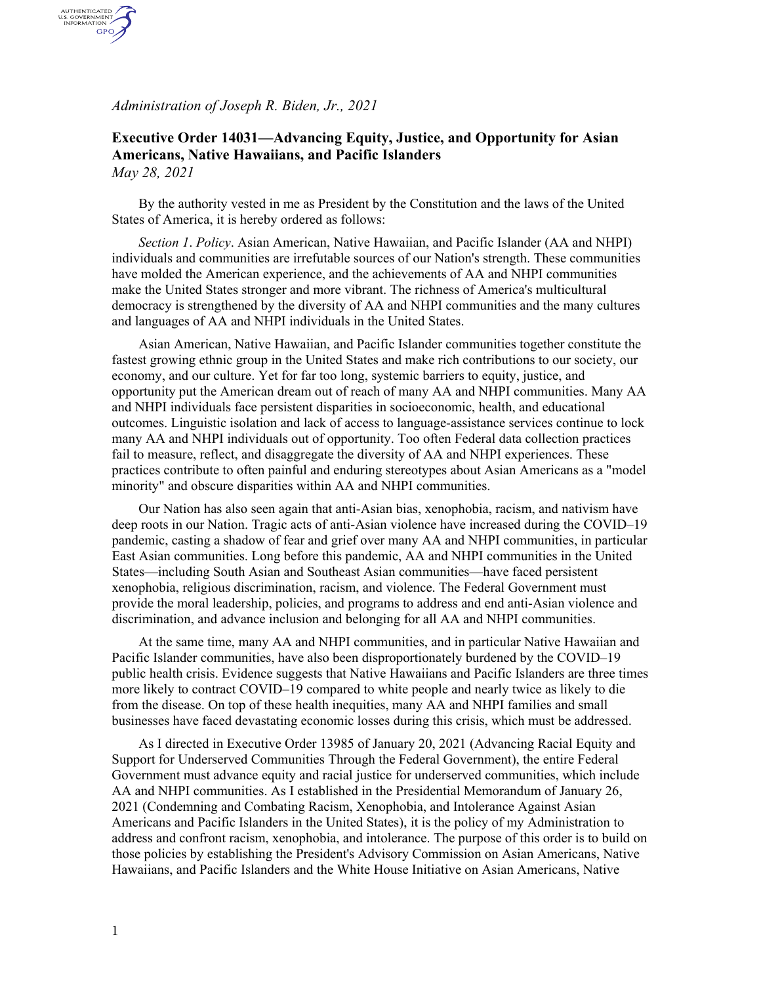*Administration of Joseph R. Biden, Jr., 2021*

AUTHENTICATED<br>U.S. GOVERNMENT<br>INFORMATION **GPO** 

## **Executive Order 14031—Advancing Equity, Justice, and Opportunity for Asian Americans, Native Hawaiians, and Pacific Islanders** *May 28, 2021*

By the authority vested in me as President by the Constitution and the laws of the United States of America, it is hereby ordered as follows:

*Section 1*. *Policy*. Asian American, Native Hawaiian, and Pacific Islander (AA and NHPI) individuals and communities are irrefutable sources of our Nation's strength. These communities have molded the American experience, and the achievements of AA and NHPI communities make the United States stronger and more vibrant. The richness of America's multicultural democracy is strengthened by the diversity of AA and NHPI communities and the many cultures and languages of AA and NHPI individuals in the United States.

Asian American, Native Hawaiian, and Pacific Islander communities together constitute the fastest growing ethnic group in the United States and make rich contributions to our society, our economy, and our culture. Yet for far too long, systemic barriers to equity, justice, and opportunity put the American dream out of reach of many AA and NHPI communities. Many AA and NHPI individuals face persistent disparities in socioeconomic, health, and educational outcomes. Linguistic isolation and lack of access to language-assistance services continue to lock many AA and NHPI individuals out of opportunity. Too often Federal data collection practices fail to measure, reflect, and disaggregate the diversity of AA and NHPI experiences. These practices contribute to often painful and enduring stereotypes about Asian Americans as a "model minority" and obscure disparities within AA and NHPI communities.

Our Nation has also seen again that anti-Asian bias, xenophobia, racism, and nativism have deep roots in our Nation. Tragic acts of anti-Asian violence have increased during the COVID–19 pandemic, casting a shadow of fear and grief over many AA and NHPI communities, in particular East Asian communities. Long before this pandemic, AA and NHPI communities in the United States—including South Asian and Southeast Asian communities—have faced persistent xenophobia, religious discrimination, racism, and violence. The Federal Government must provide the moral leadership, policies, and programs to address and end anti-Asian violence and discrimination, and advance inclusion and belonging for all AA and NHPI communities.

At the same time, many AA and NHPI communities, and in particular Native Hawaiian and Pacific Islander communities, have also been disproportionately burdened by the COVID–19 public health crisis. Evidence suggests that Native Hawaiians and Pacific Islanders are three times more likely to contract COVID–19 compared to white people and nearly twice as likely to die from the disease. On top of these health inequities, many AA and NHPI families and small businesses have faced devastating economic losses during this crisis, which must be addressed.

As I directed in Executive Order 13985 of January 20, 2021 (Advancing Racial Equity and Support for Underserved Communities Through the Federal Government), the entire Federal Government must advance equity and racial justice for underserved communities, which include AA and NHPI communities. As I established in the Presidential Memorandum of January 26, 2021 (Condemning and Combating Racism, Xenophobia, and Intolerance Against Asian Americans and Pacific Islanders in the United States), it is the policy of my Administration to address and confront racism, xenophobia, and intolerance. The purpose of this order is to build on those policies by establishing the President's Advisory Commission on Asian Americans, Native Hawaiians, and Pacific Islanders and the White House Initiative on Asian Americans, Native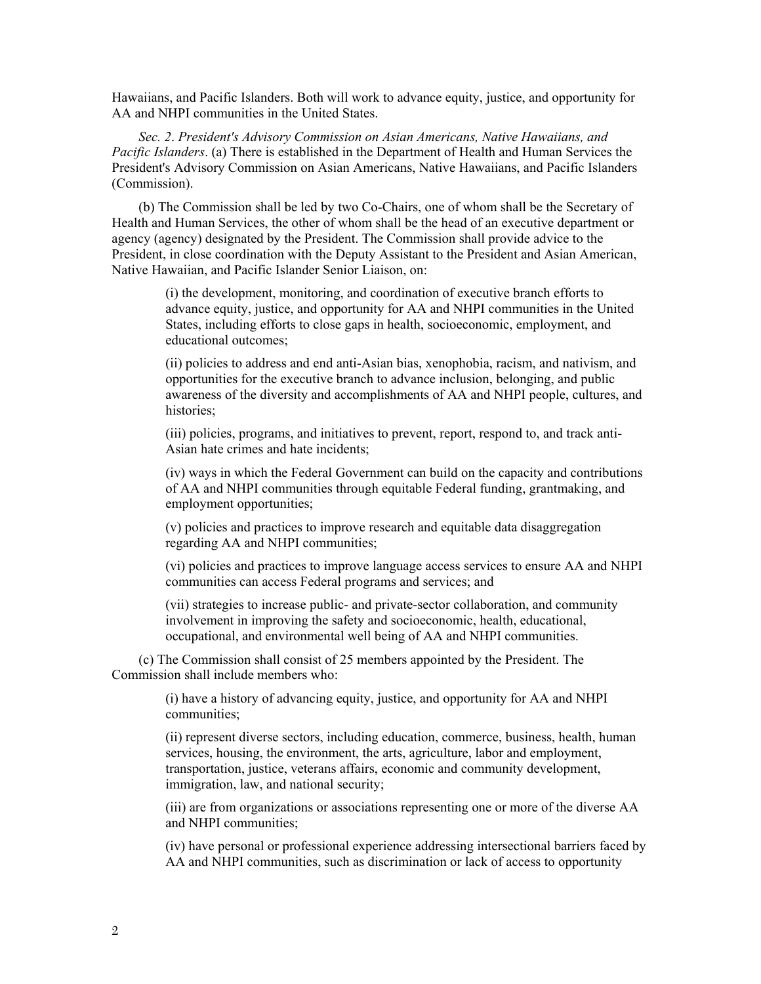Hawaiians, and Pacific Islanders. Both will work to advance equity, justice, and opportunity for AA and NHPI communities in the United States.

*Sec. 2*. *President's Advisory Commission on Asian Americans, Native Hawaiians, and Pacific Islanders*. (a) There is established in the Department of Health and Human Services the President's Advisory Commission on Asian Americans, Native Hawaiians, and Pacific Islanders (Commission).

(b) The Commission shall be led by two Co-Chairs, one of whom shall be the Secretary of Health and Human Services, the other of whom shall be the head of an executive department or agency (agency) designated by the President. The Commission shall provide advice to the President, in close coordination with the Deputy Assistant to the President and Asian American, Native Hawaiian, and Pacific Islander Senior Liaison, on:

> (i) the development, monitoring, and coordination of executive branch efforts to advance equity, justice, and opportunity for AA and NHPI communities in the United States, including efforts to close gaps in health, socioeconomic, employment, and educational outcomes;

(ii) policies to address and end anti-Asian bias, xenophobia, racism, and nativism, and opportunities for the executive branch to advance inclusion, belonging, and public awareness of the diversity and accomplishments of AA and NHPI people, cultures, and histories;

(iii) policies, programs, and initiatives to prevent, report, respond to, and track anti-Asian hate crimes and hate incidents;

(iv) ways in which the Federal Government can build on the capacity and contributions of AA and NHPI communities through equitable Federal funding, grantmaking, and employment opportunities;

(v) policies and practices to improve research and equitable data disaggregation regarding AA and NHPI communities;

(vi) policies and practices to improve language access services to ensure AA and NHPI communities can access Federal programs and services; and

(vii) strategies to increase public- and private-sector collaboration, and community involvement in improving the safety and socioeconomic, health, educational, occupational, and environmental well being of AA and NHPI communities.

(c) The Commission shall consist of 25 members appointed by the President. The Commission shall include members who:

> (i) have a history of advancing equity, justice, and opportunity for AA and NHPI communities;

(ii) represent diverse sectors, including education, commerce, business, health, human services, housing, the environment, the arts, agriculture, labor and employment, transportation, justice, veterans affairs, economic and community development, immigration, law, and national security;

(iii) are from organizations or associations representing one or more of the diverse AA and NHPI communities;

(iv) have personal or professional experience addressing intersectional barriers faced by AA and NHPI communities, such as discrimination or lack of access to opportunity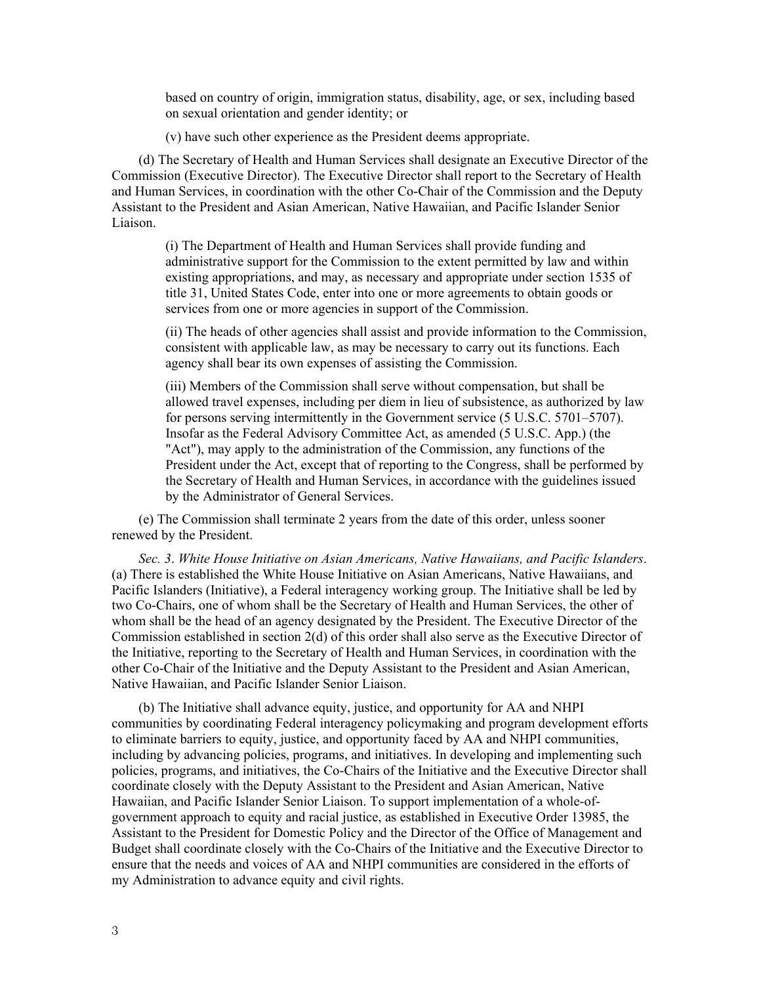based on country of origin, immigration status, disability, age, or sex, including based on sexual orientation and gender identity; or

(v) have such other experience as the President deems appropriate.

(d) The Secretary of Health and Human Services shall designate an Executive Director of the Commission (Executive Director). The Executive Director shall report to the Secretary of Health and Human Services, in coordination with the other Co-Chair of the Commission and the Deputy Assistant to the President and Asian American, Native Hawaiian, and Pacific Islander Senior Liaison.

(i) The Department of Health and Human Services shall provide funding and administrative support for the Commission to the extent permitted by law and within existing appropriations, and may, as necessary and appropriate under section 1535 of title 31, United States Code, enter into one or more agreements to obtain goods or services from one or more agencies in support of the Commission.

(ii) The heads of other agencies shall assist and provide information to the Commission, consistent with applicable law, as may be necessary to carry out its functions. Each agency shall bear its own expenses of assisting the Commission.

(iii) Members of the Commission shall serve without compensation, but shall be allowed travel expenses, including per diem in lieu of subsistence, as authorized by law for persons serving intermittently in the Government service (5 U.S.C. 5701–5707). Insofar as the Federal Advisory Committee Act, as amended (5 U.S.C. App.) (the "Act"), may apply to the administration of the Commission, any functions of the President under the Act, except that of reporting to the Congress, shall be performed by the Secretary of Health and Human Services, in accordance with the guidelines issued by the Administrator of General Services.

(e) The Commission shall terminate 2 years from the date of this order, unless sooner renewed by the President.

*Sec. 3*. *White House Initiative on Asian Americans, Native Hawaiians, and Pacific Islanders*. (a) There is established the White House Initiative on Asian Americans, Native Hawaiians, and Pacific Islanders (Initiative), a Federal interagency working group. The Initiative shall be led by two Co-Chairs, one of whom shall be the Secretary of Health and Human Services, the other of whom shall be the head of an agency designated by the President. The Executive Director of the Commission established in section 2(d) of this order shall also serve as the Executive Director of the Initiative, reporting to the Secretary of Health and Human Services, in coordination with the other Co-Chair of the Initiative and the Deputy Assistant to the President and Asian American, Native Hawaiian, and Pacific Islander Senior Liaison.

(b) The Initiative shall advance equity, justice, and opportunity for AA and NHPI communities by coordinating Federal interagency policymaking and program development efforts to eliminate barriers to equity, justice, and opportunity faced by AA and NHPI communities, including by advancing policies, programs, and initiatives. In developing and implementing such policies, programs, and initiatives, the Co-Chairs of the Initiative and the Executive Director shall coordinate closely with the Deputy Assistant to the President and Asian American, Native Hawaiian, and Pacific Islander Senior Liaison. To support implementation of a whole-ofgovernment approach to equity and racial justice, as established in Executive Order 13985, the Assistant to the President for Domestic Policy and the Director of the Office of Management and Budget shall coordinate closely with the Co-Chairs of the Initiative and the Executive Director to ensure that the needs and voices of AA and NHPI communities are considered in the efforts of my Administration to advance equity and civil rights.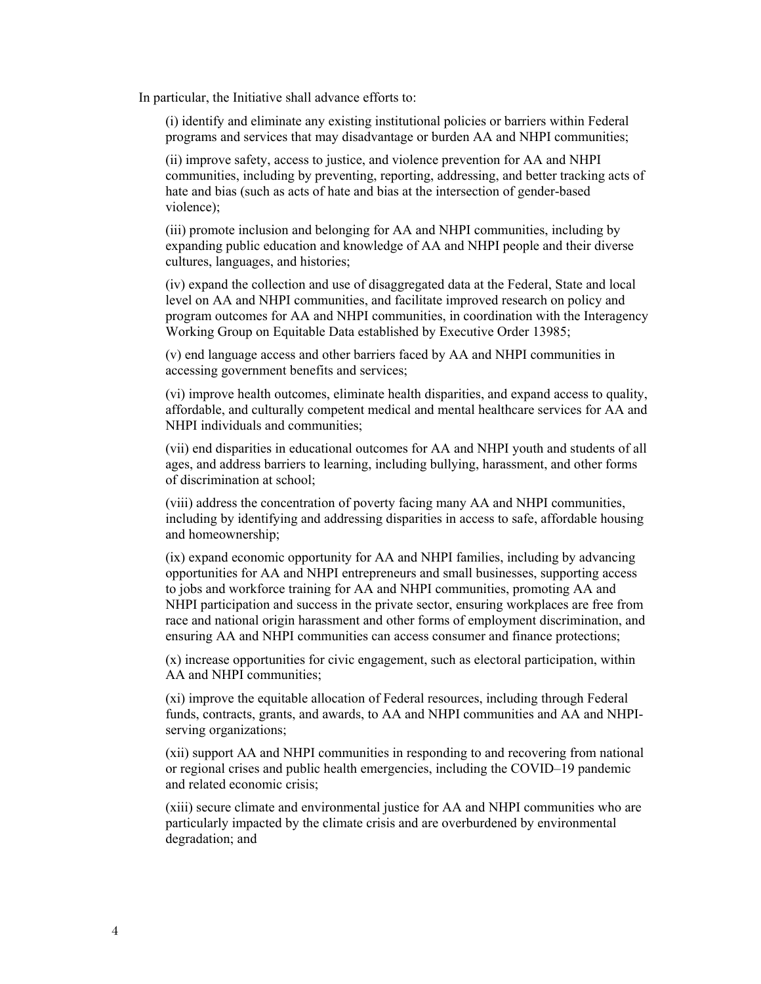In particular, the Initiative shall advance efforts to:

(i) identify and eliminate any existing institutional policies or barriers within Federal programs and services that may disadvantage or burden AA and NHPI communities;

(ii) improve safety, access to justice, and violence prevention for AA and NHPI communities, including by preventing, reporting, addressing, and better tracking acts of hate and bias (such as acts of hate and bias at the intersection of gender-based violence);

(iii) promote inclusion and belonging for AA and NHPI communities, including by expanding public education and knowledge of AA and NHPI people and their diverse cultures, languages, and histories;

(iv) expand the collection and use of disaggregated data at the Federal, State and local level on AA and NHPI communities, and facilitate improved research on policy and program outcomes for AA and NHPI communities, in coordination with the Interagency Working Group on Equitable Data established by Executive Order 13985;

(v) end language access and other barriers faced by AA and NHPI communities in accessing government benefits and services;

(vi) improve health outcomes, eliminate health disparities, and expand access to quality, affordable, and culturally competent medical and mental healthcare services for AA and NHPI individuals and communities;

(vii) end disparities in educational outcomes for AA and NHPI youth and students of all ages, and address barriers to learning, including bullying, harassment, and other forms of discrimination at school;

(viii) address the concentration of poverty facing many AA and NHPI communities, including by identifying and addressing disparities in access to safe, affordable housing and homeownership;

(ix) expand economic opportunity for AA and NHPI families, including by advancing opportunities for AA and NHPI entrepreneurs and small businesses, supporting access to jobs and workforce training for AA and NHPI communities, promoting AA and NHPI participation and success in the private sector, ensuring workplaces are free from race and national origin harassment and other forms of employment discrimination, and ensuring AA and NHPI communities can access consumer and finance protections;

(x) increase opportunities for civic engagement, such as electoral participation, within AA and NHPI communities;

(xi) improve the equitable allocation of Federal resources, including through Federal funds, contracts, grants, and awards, to AA and NHPI communities and AA and NHPIserving organizations;

(xii) support AA and NHPI communities in responding to and recovering from national or regional crises and public health emergencies, including the COVID–19 pandemic and related economic crisis;

(xiii) secure climate and environmental justice for AA and NHPI communities who are particularly impacted by the climate crisis and are overburdened by environmental degradation; and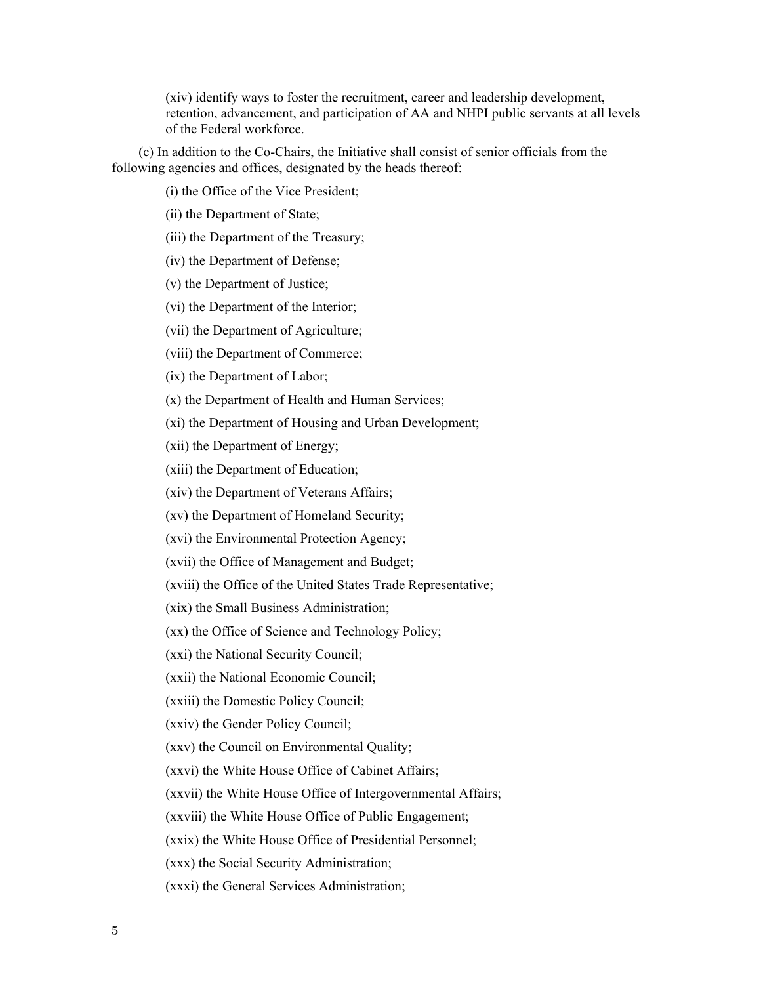(xiv) identify ways to foster the recruitment, career and leadership development, retention, advancement, and participation of AA and NHPI public servants at all levels of the Federal workforce.

(c) In addition to the Co-Chairs, the Initiative shall consist of senior officials from the following agencies and offices, designated by the heads thereof:

(i) the Office of the Vice President;

(ii) the Department of State;

(iii) the Department of the Treasury;

(iv) the Department of Defense;

(v) the Department of Justice;

(vi) the Department of the Interior;

(vii) the Department of Agriculture;

(viii) the Department of Commerce;

(ix) the Department of Labor;

(x) the Department of Health and Human Services;

(xi) the Department of Housing and Urban Development;

(xii) the Department of Energy;

(xiii) the Department of Education;

(xiv) the Department of Veterans Affairs;

(xv) the Department of Homeland Security;

(xvi) the Environmental Protection Agency;

(xvii) the Office of Management and Budget;

(xviii) the Office of the United States Trade Representative;

(xix) the Small Business Administration;

(xx) the Office of Science and Technology Policy;

(xxi) the National Security Council;

(xxii) the National Economic Council;

(xxiii) the Domestic Policy Council;

(xxiv) the Gender Policy Council;

(xxv) the Council on Environmental Quality;

(xxvi) the White House Office of Cabinet Affairs;

(xxvii) the White House Office of Intergovernmental Affairs;

(xxviii) the White House Office of Public Engagement;

(xxix) the White House Office of Presidential Personnel;

(xxx) the Social Security Administration;

(xxxi) the General Services Administration;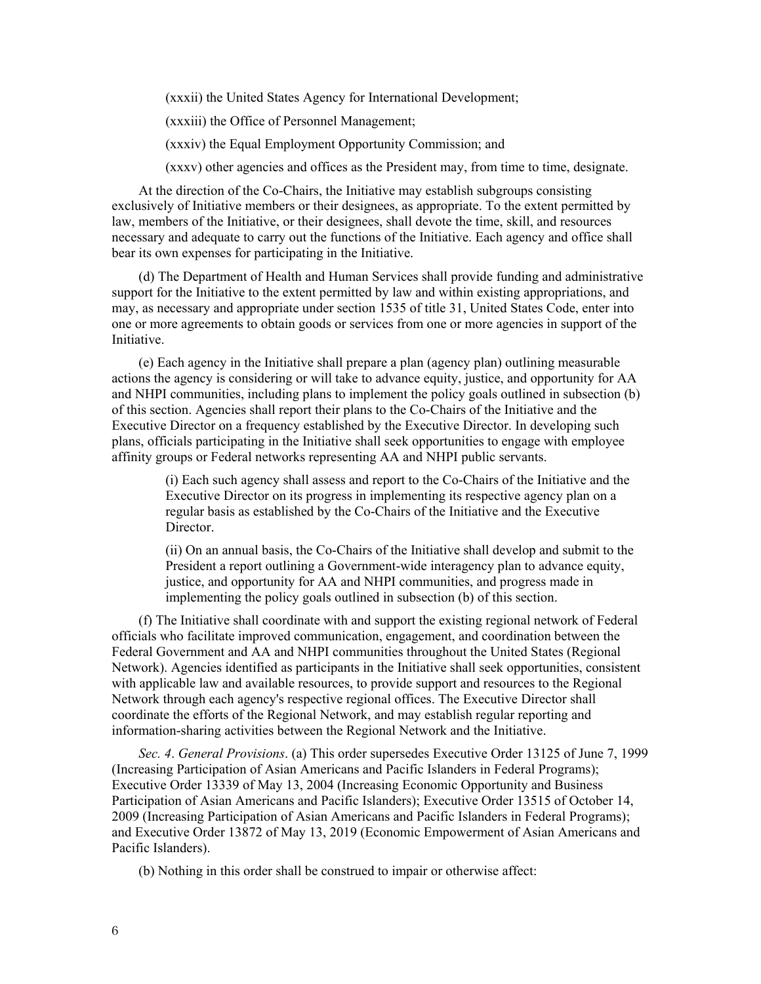(xxxii) the United States Agency for International Development;

(xxxiii) the Office of Personnel Management;

(xxxiv) the Equal Employment Opportunity Commission; and

(xxxv) other agencies and offices as the President may, from time to time, designate.

At the direction of the Co-Chairs, the Initiative may establish subgroups consisting exclusively of Initiative members or their designees, as appropriate. To the extent permitted by law, members of the Initiative, or their designees, shall devote the time, skill, and resources necessary and adequate to carry out the functions of the Initiative. Each agency and office shall bear its own expenses for participating in the Initiative.

(d) The Department of Health and Human Services shall provide funding and administrative support for the Initiative to the extent permitted by law and within existing appropriations, and may, as necessary and appropriate under section 1535 of title 31, United States Code, enter into one or more agreements to obtain goods or services from one or more agencies in support of the Initiative.

(e) Each agency in the Initiative shall prepare a plan (agency plan) outlining measurable actions the agency is considering or will take to advance equity, justice, and opportunity for AA and NHPI communities, including plans to implement the policy goals outlined in subsection (b) of this section. Agencies shall report their plans to the Co-Chairs of the Initiative and the Executive Director on a frequency established by the Executive Director. In developing such plans, officials participating in the Initiative shall seek opportunities to engage with employee affinity groups or Federal networks representing AA and NHPI public servants.

> (i) Each such agency shall assess and report to the Co-Chairs of the Initiative and the Executive Director on its progress in implementing its respective agency plan on a regular basis as established by the Co-Chairs of the Initiative and the Executive Director.

> (ii) On an annual basis, the Co-Chairs of the Initiative shall develop and submit to the President a report outlining a Government-wide interagency plan to advance equity, justice, and opportunity for AA and NHPI communities, and progress made in implementing the policy goals outlined in subsection (b) of this section.

(f) The Initiative shall coordinate with and support the existing regional network of Federal officials who facilitate improved communication, engagement, and coordination between the Federal Government and AA and NHPI communities throughout the United States (Regional Network). Agencies identified as participants in the Initiative shall seek opportunities, consistent with applicable law and available resources, to provide support and resources to the Regional Network through each agency's respective regional offices. The Executive Director shall coordinate the efforts of the Regional Network, and may establish regular reporting and information-sharing activities between the Regional Network and the Initiative.

*Sec. 4*. *General Provisions*. (a) This order supersedes Executive Order 13125 of June 7, 1999 (Increasing Participation of Asian Americans and Pacific Islanders in Federal Programs); Executive Order 13339 of May 13, 2004 (Increasing Economic Opportunity and Business Participation of Asian Americans and Pacific Islanders); Executive Order 13515 of October 14, 2009 (Increasing Participation of Asian Americans and Pacific Islanders in Federal Programs); and Executive Order 13872 of May 13, 2019 (Economic Empowerment of Asian Americans and Pacific Islanders).

(b) Nothing in this order shall be construed to impair or otherwise affect: